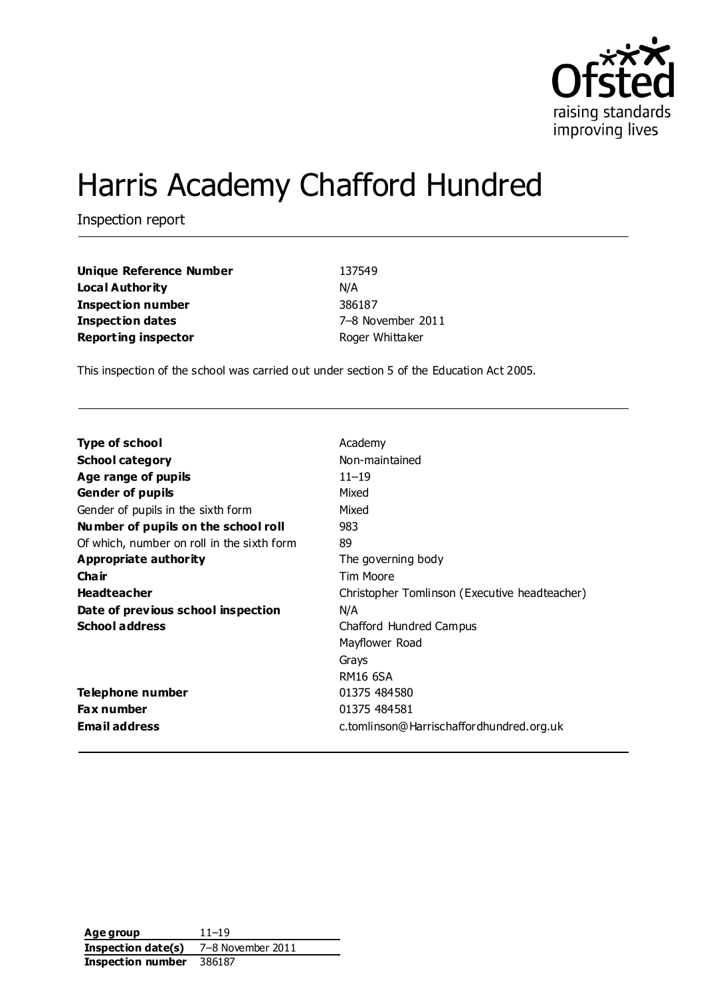

# Harris Academy Chafford Hundred

Inspection report

| <b>Unique Reference Number</b> | 137549            |
|--------------------------------|-------------------|
| Local Authority                | N/A               |
| Inspection number              | 386187            |
| <b>Inspection dates</b>        | 7-8 November 2011 |
| <b>Reporting inspector</b>     | Roger Whittaker   |

This inspection of the school was carried out under section 5 of the Education Act 2005.

| Type of school                             | Academy                                       |
|--------------------------------------------|-----------------------------------------------|
| <b>School category</b>                     | Non-maintained                                |
| Age range of pupils                        | $11 - 19$                                     |
| <b>Gender of pupils</b>                    | Mixed                                         |
| Gender of pupils in the sixth form         | Mixed                                         |
| Number of pupils on the school roll        | 983                                           |
| Of which, number on roll in the sixth form | 89                                            |
| Appropriate authority                      | The governing body                            |
| Cha ir                                     | Tim Moore                                     |
| <b>Headteacher</b>                         | Christopher Tomlinson (Executive headteacher) |
| Date of previous school inspection         | N/A                                           |
| <b>School address</b>                      | Chafford Hundred Campus                       |
|                                            | Mayflower Road                                |
|                                            | Grays                                         |
|                                            | RM16 6SA                                      |
| Telephone number                           | 01375 484580                                  |
| <b>Fax number</b>                          | 01375 484581                                  |
| <b>Email address</b>                       | c.tomlinson@Harrischaffordhundred.org.uk      |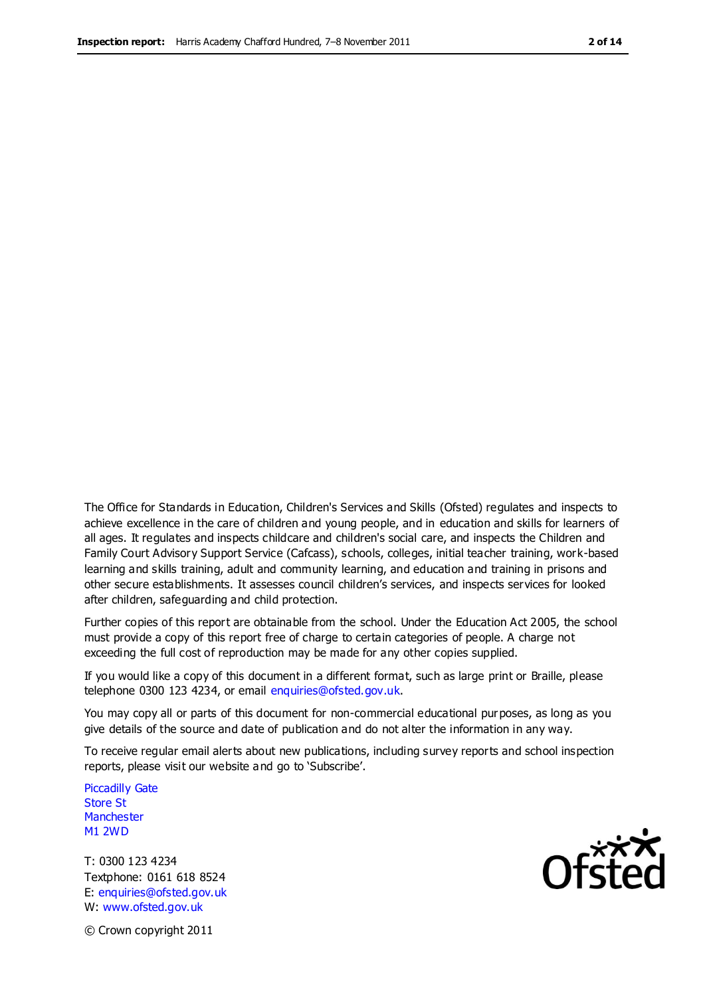The Office for Standards in Education, Children's Services and Skills (Ofsted) regulates and inspects to achieve excellence in the care of children and young people, and in education and skills for learners of all ages. It regulates and inspects childcare and children's social care, and inspects the Children and Family Court Advisory Support Service (Cafcass), schools, colleges, initial teacher training, work-based learning and skills training, adult and community learning, and education and training in prisons and other secure establishments. It assesses council children's services, and inspects services for looked after children, safeguarding and child protection.

Further copies of this report are obtainable from the school. Under the Education Act 2005, the school must provide a copy of this report free of charge to certain categories of people. A charge not exceeding the full cost of reproduction may be made for any other copies supplied.

If you would like a copy of this document in a different format, such as large print or Braille, please telephone 0300 123 4234, or email enquiries@ofsted.gov.uk.

You may copy all or parts of this document for non-commercial educational purposes, as long as you give details of the source and date of publication and do not alter the information in any way.

To receive regular email alerts about new publications, including survey reports and school inspection reports, please visit our website and go to 'Subscribe'.

Piccadilly Gate Store St **Manchester** M1 2WD

T: 0300 123 4234 Textphone: 0161 618 8524 E: enquiries@ofsted.gov.uk W: www.ofsted.gov.uk

Ofsted

© Crown copyright 2011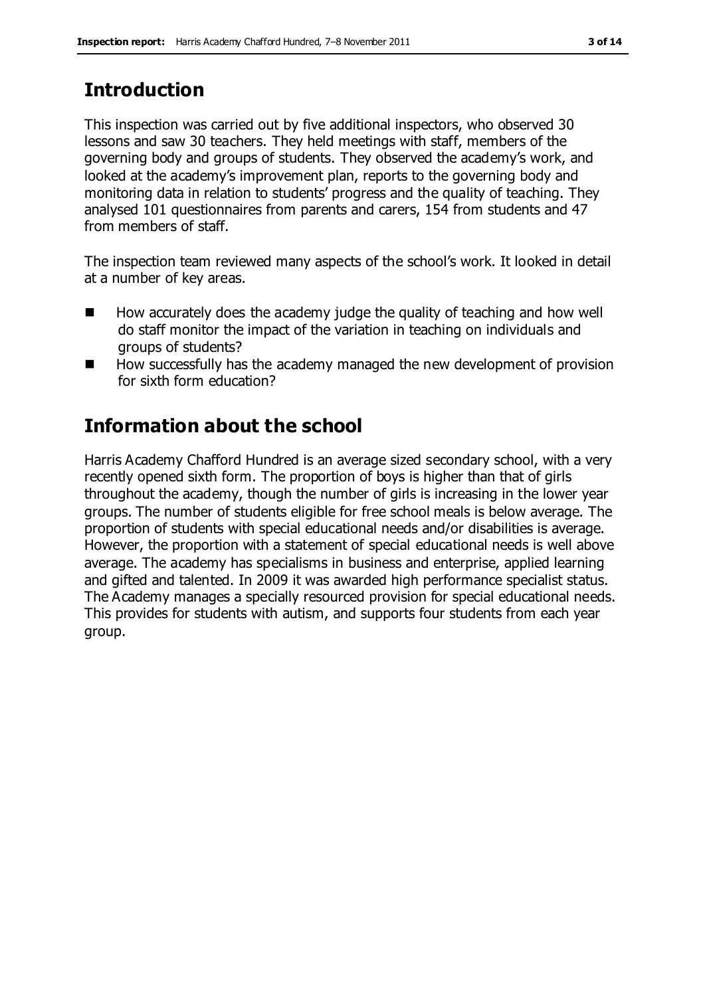# **Introduction**

This inspection was carried out by five additional inspectors, who observed 30 lessons and saw 30 teachers. They held meetings with staff, members of the governing body and groups of students. They observed the academy's work, and looked at the academy's improvement plan, reports to the governing body and monitoring data in relation to students' progress and the quality of teaching. They analysed 101 questionnaires from parents and carers, 154 from students and 47 from members of staff.

The inspection team reviewed many aspects of the school's work. It looked in detail at a number of key areas.

- $\blacksquare$  How accurately does the academy judge the quality of teaching and how well do staff monitor the impact of the variation in teaching on individuals and groups of students?
- How successfully has the academy managed the new development of provision for sixth form education?

# **Information about the school**

Harris Academy Chafford Hundred is an average sized secondary school, with a very recently opened sixth form. The proportion of boys is higher than that of girls throughout the academy, though the number of girls is increasing in the lower year groups. The number of students eligible for free school meals is below average. The proportion of students with special educational needs and/or disabilities is average. However, the proportion with a statement of special educational needs is well above average. The academy has specialisms in business and enterprise, applied learning and gifted and talented. In 2009 it was awarded high performance specialist status. The Academy manages a specially resourced provision for special educational needs. This provides for students with autism, and supports four students from each year group.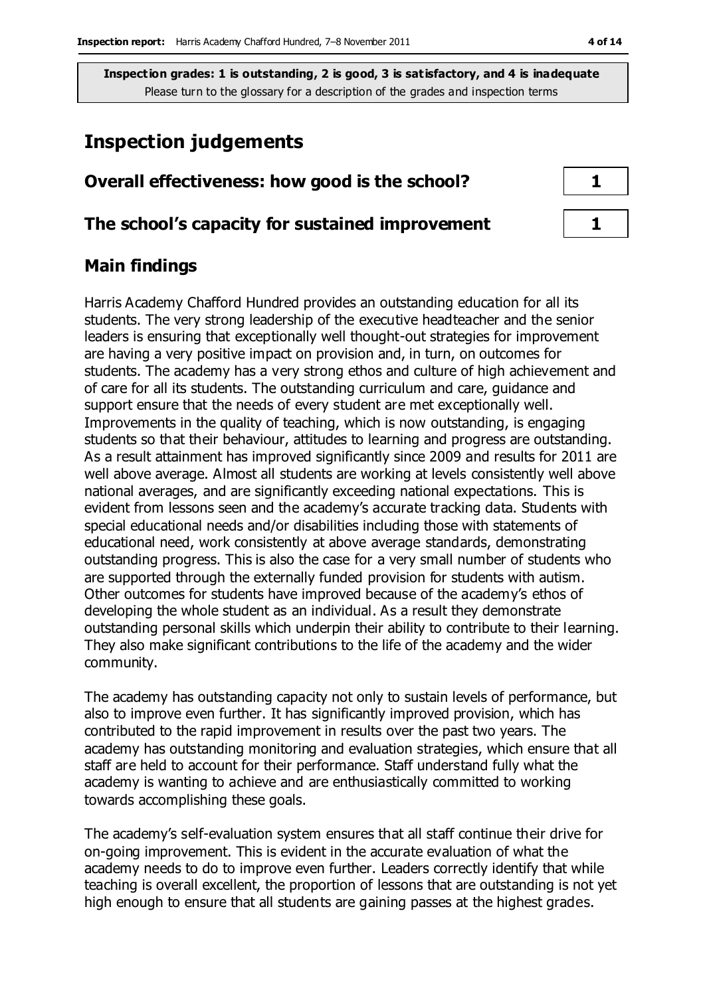# **Inspection judgements**

# **Overall effectiveness: how good is the school? 1**

#### **The school's capacity for sustained improvement 1**

# **Main findings**

Harris Academy Chafford Hundred provides an outstanding education for all its students. The very strong leadership of the executive headteacher and the senior leaders is ensuring that exceptionally well thought-out strategies for improvement are having a very positive impact on provision and, in turn, on outcomes for students. The academy has a very strong ethos and culture of high achievement and of care for all its students. The outstanding curriculum and care, guidance and support ensure that the needs of every student are met exceptionally well. Improvements in the quality of teaching, which is now outstanding, is engaging students so that their behaviour, attitudes to learning and progress are outstanding. As a result attainment has improved significantly since 2009 and results for 2011 are well above average. Almost all students are working at levels consistently well above national averages, and are significantly exceeding national expectations. This is evident from lessons seen and the academy's accurate tracking data. Students with special educational needs and/or disabilities including those with statements of educational need, work consistently at above average standards, demonstrating outstanding progress. This is also the case for a very small number of students who are supported through the externally funded provision for students with autism. Other outcomes for students have improved because of the academy's ethos of developing the whole student as an individual. As a result they demonstrate outstanding personal skills which underpin their ability to contribute to their learning. They also make significant contributions to the life of the academy and the wider community.

The academy has outstanding capacity not only to sustain levels of performance, but also to improve even further. It has significantly improved provision, which has contributed to the rapid improvement in results over the past two years. The academy has outstanding monitoring and evaluation strategies, which ensure that all staff are held to account for their performance. Staff understand fully what the academy is wanting to achieve and are enthusiastically committed to working towards accomplishing these goals.

The academy's self-evaluation system ensures that all staff continue their drive for on-going improvement. This is evident in the accurate evaluation of what the academy needs to do to improve even further. Leaders correctly identify that while teaching is overall excellent, the proportion of lessons that are outstanding is not yet high enough to ensure that all students are gaining passes at the highest grades.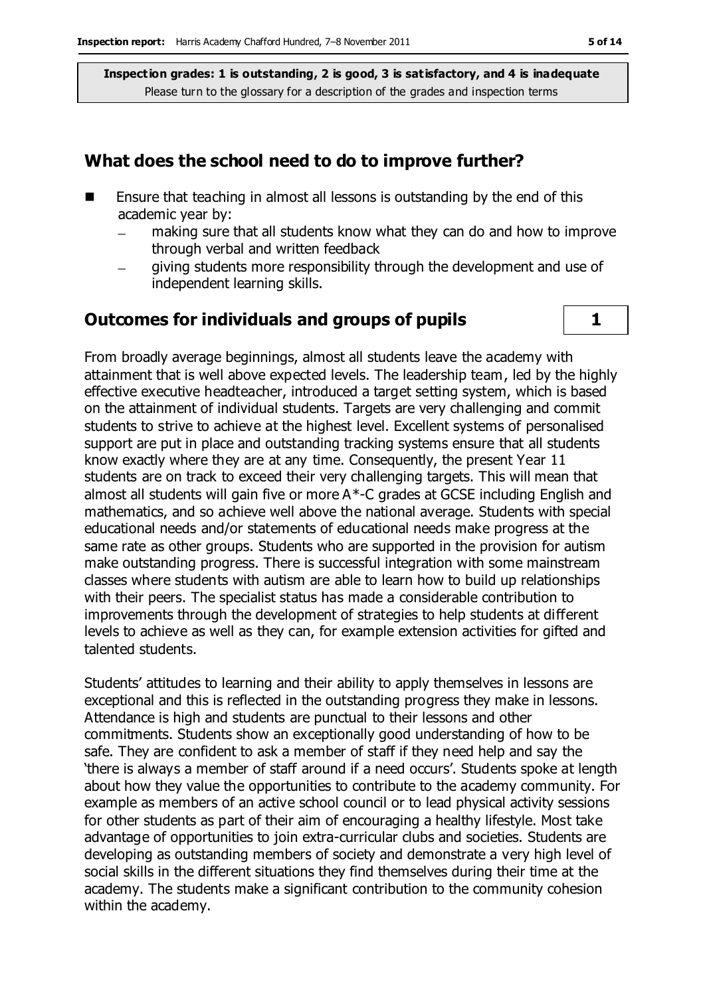### **What does the school need to do to improve further?**

- Ensure that teaching in almost all lessons is outstanding by the end of this academic year by:
	- making sure that all students know what they can do and how to improve through verbal and written feedback
	- giving students more responsibility through the development and use of  $\equiv$ independent learning skills.

### **Outcomes for individuals and groups of pupils 1**

From broadly average beginnings, almost all students leave the academy with attainment that is well above expected levels. The leadership team, led by the highly effective executive headteacher, introduced a target setting system, which is based on the attainment of individual students. Targets are very challenging and commit students to strive to achieve at the highest level. Excellent systems of personalised support are put in place and outstanding tracking systems ensure that all students know exactly where they are at any time. Consequently, the present Year 11 students are on track to exceed their very challenging targets. This will mean that almost all students will gain five or more A\*-C grades at GCSE including English and mathematics, and so achieve well above the national average. Students with special educational needs and/or statements of educational needs make progress at the same rate as other groups. Students who are supported in the provision for autism make outstanding progress. There is successful integration with some mainstream classes where students with autism are able to learn how to build up relationships with their peers. The specialist status has made a considerable contribution to improvements through the development of strategies to help students at different levels to achieve as well as they can, for example extension activities for gifted and talented students.

Students' attitudes to learning and their ability to apply themselves in lessons are exceptional and this is reflected in the outstanding progress they make in lessons. Attendance is high and students are punctual to their lessons and other commitments. Students show an exceptionally good understanding of how to be safe. They are confident to ask a member of staff if they need help and say the 'there is always a member of staff around if a need occurs'. Students spoke at length about how they value the opportunities to contribute to the academy community. For example as members of an active school council or to lead physical activity sessions for other students as part of their aim of encouraging a healthy lifestyle. Most take advantage of opportunities to join extra-curricular clubs and societies. Students are developing as outstanding members of society and demonstrate a very high level of social skills in the different situations they find themselves during their time at the academy. The students make a significant contribution to the community cohesion within the academy.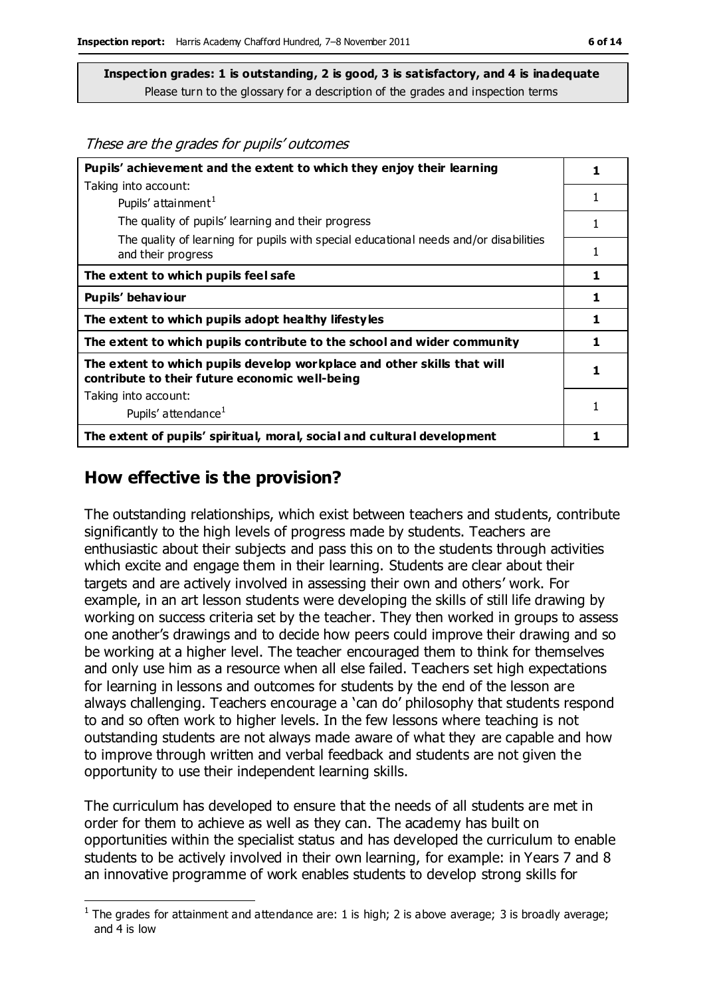These are the grades for pupils' outcomes

| Pupils' achievement and the extent to which they enjoy their learning                                                     |   |
|---------------------------------------------------------------------------------------------------------------------------|---|
| Taking into account:                                                                                                      |   |
| Pupils' attainment <sup>1</sup>                                                                                           | 1 |
| The quality of pupils' learning and their progress                                                                        |   |
| The quality of learning for pupils with special educational needs and/or disabilities<br>and their progress               | 1 |
| The extent to which pupils feel safe                                                                                      | 1 |
| Pupils' behaviour                                                                                                         | 1 |
| The extent to which pupils adopt healthy lifestyles                                                                       | 1 |
| The extent to which pupils contribute to the school and wider community                                                   | 1 |
| The extent to which pupils develop workplace and other skills that will<br>contribute to their future economic well-being |   |
| Taking into account:                                                                                                      |   |
| Pupils' attendance <sup>1</sup>                                                                                           |   |
| The extent of pupils' spiritual, moral, social and cultural development                                                   |   |

# **How effective is the provision?**

The outstanding relationships, which exist between teachers and students, contribute significantly to the high levels of progress made by students. Teachers are enthusiastic about their subjects and pass this on to the students through activities which excite and engage them in their learning. Students are clear about their targets and are actively involved in assessing their own and others' work. For example, in an art lesson students were developing the skills of still life drawing by working on success criteria set by the teacher. They then worked in groups to assess one another's drawings and to decide how peers could improve their drawing and so be working at a higher level. The teacher encouraged them to think for themselves and only use him as a resource when all else failed. Teachers set high expectations for learning in lessons and outcomes for students by the end of the lesson are always challenging. Teachers encourage a 'can do' philosophy that students respond to and so often work to higher levels. In the few lessons where teaching is not outstanding students are not always made aware of what they are capable and how to improve through written and verbal feedback and students are not given the opportunity to use their independent learning skills.

The curriculum has developed to ensure that the needs of all students are met in order for them to achieve as well as they can. The academy has built on opportunities within the specialist status and has developed the curriculum to enable students to be actively involved in their own learning, for example: in Years 7 and 8 an innovative programme of work enables students to develop strong skills for

 $\overline{a}$ <sup>1</sup> The grades for attainment and attendance are: 1 is high; 2 is above average; 3 is broadly average; and 4 is low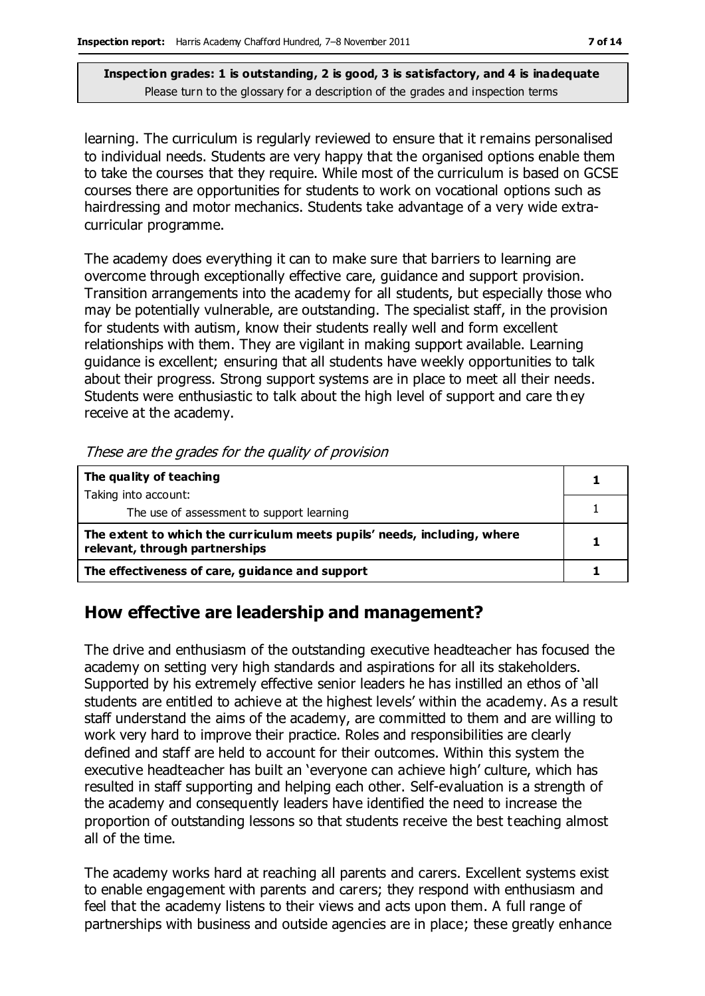learning. The curriculum is regularly reviewed to ensure that it remains personalised to individual needs. Students are very happy that the organised options enable them to take the courses that they require. While most of the curriculum is based on GCSE courses there are opportunities for students to work on vocational options such as hairdressing and motor mechanics. Students take advantage of a very wide extracurricular programme.

The academy does everything it can to make sure that barriers to learning are overcome through exceptionally effective care, guidance and support provision. Transition arrangements into the academy for all students, but especially those who may be potentially vulnerable, are outstanding. The specialist staff, in the provision for students with autism, know their students really well and form excellent relationships with them. They are vigilant in making support available. Learning guidance is excellent; ensuring that all students have weekly opportunities to talk about their progress. Strong support systems are in place to meet all their needs. Students were enthusiastic to talk about the high level of support and care they receive at the academy.

| These are the grades for the guality of provision                                                          |  |
|------------------------------------------------------------------------------------------------------------|--|
| The quality of teaching                                                                                    |  |
| Taking into account:                                                                                       |  |
| The use of assessment to support learning                                                                  |  |
| The extent to which the curriculum meets pupils' needs, including, where<br>relevant, through partnerships |  |
| The effectiveness of care, guidance and support                                                            |  |

These are the grades for the quality of provision

# **How effective are leadership and management?**

The drive and enthusiasm of the outstanding executive headteacher has focused the academy on setting very high standards and aspirations for all its stakeholders. Supported by his extremely effective senior leaders he has instilled an ethos of 'all students are entitled to achieve at the highest levels' within the academy. As a result staff understand the aims of the academy, are committed to them and are willing to work very hard to improve their practice. Roles and responsibilities are clearly defined and staff are held to account for their outcomes. Within this system the executive headteacher has built an 'everyone can achieve high' culture, which has resulted in staff supporting and helping each other. Self-evaluation is a strength of the academy and consequently leaders have identified the need to increase the proportion of outstanding lessons so that students receive the best teaching almost all of the time.

The academy works hard at reaching all parents and carers. Excellent systems exist to enable engagement with parents and carers; they respond with enthusiasm and feel that the academy listens to their views and acts upon them. A full range of partnerships with business and outside agencies are in place; these greatly enhance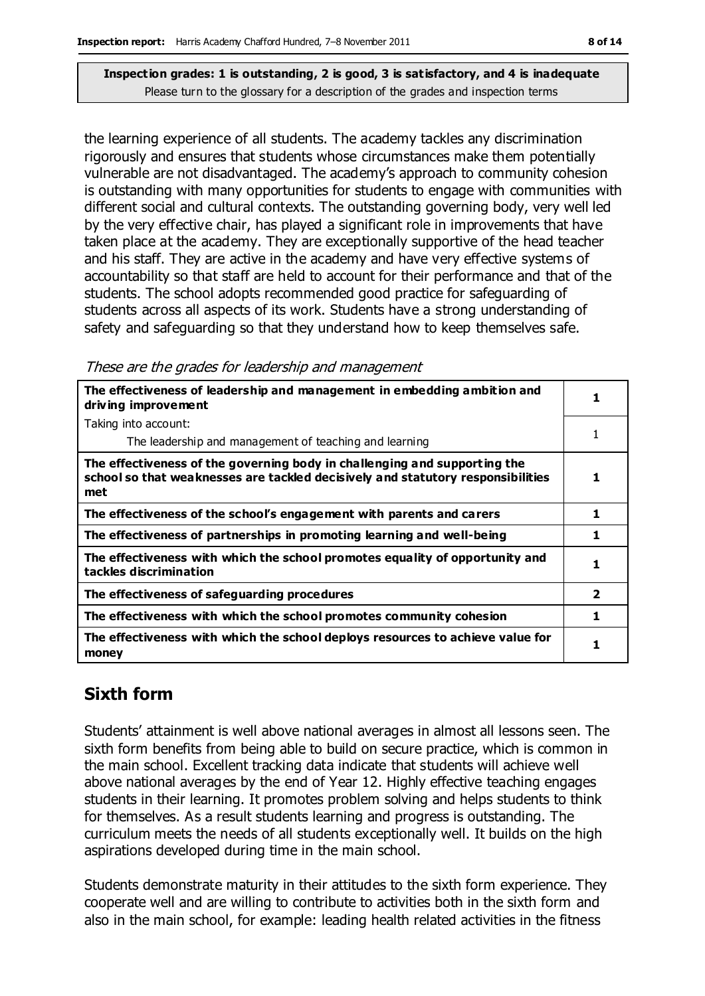the learning experience of all students. The academy tackles any discrimination rigorously and ensures that students whose circumstances make them potentially vulnerable are not disadvantaged. The academy's approach to community cohesion is outstanding with many opportunities for students to engage with communities with different social and cultural contexts. The outstanding governing body, very well led by the very effective chair, has played a significant role in improvements that have taken place at the academy. They are exceptionally supportive of the head teacher and his staff. They are active in the academy and have very effective systems of accountability so that staff are held to account for their performance and that of the students. The school adopts recommended good practice for safeguarding of students across all aspects of its work. Students have a strong understanding of safety and safeguarding so that they understand how to keep themselves safe.

| The effectiveness of leadership and management in embedding ambition and<br>driving improvement                                                                     |                         |
|---------------------------------------------------------------------------------------------------------------------------------------------------------------------|-------------------------|
| Taking into account:                                                                                                                                                |                         |
| The leadership and management of teaching and learning                                                                                                              |                         |
| The effectiveness of the governing body in challenging and supporting the<br>school so that weaknesses are tackled decisively and statutory responsibilities<br>met | 1                       |
| The effectiveness of the school's engagement with parents and carers                                                                                                | 1                       |
| The effectiveness of partnerships in promoting learning and well-being                                                                                              | 1                       |
| The effectiveness with which the school promotes equality of opportunity and<br>tackles discrimination                                                              |                         |
| The effectiveness of safeguarding procedures                                                                                                                        | $\overline{\mathbf{2}}$ |
| The effectiveness with which the school promotes community cohesion                                                                                                 | 1                       |
| The effectiveness with which the school deploys resources to achieve value for<br>money                                                                             |                         |

# **Sixth form**

Students' attainment is well above national averages in almost all lessons seen. The sixth form benefits from being able to build on secure practice, which is common in the main school. Excellent tracking data indicate that students will achieve well above national averages by the end of Year 12. Highly effective teaching engages students in their learning. It promotes problem solving and helps students to think for themselves. As a result students learning and progress is outstanding. The curriculum meets the needs of all students exceptionally well. It builds on the high aspirations developed during time in the main school.

Students demonstrate maturity in their attitudes to the sixth form experience. They cooperate well and are willing to contribute to activities both in the sixth form and also in the main school, for example: leading health related activities in the fitness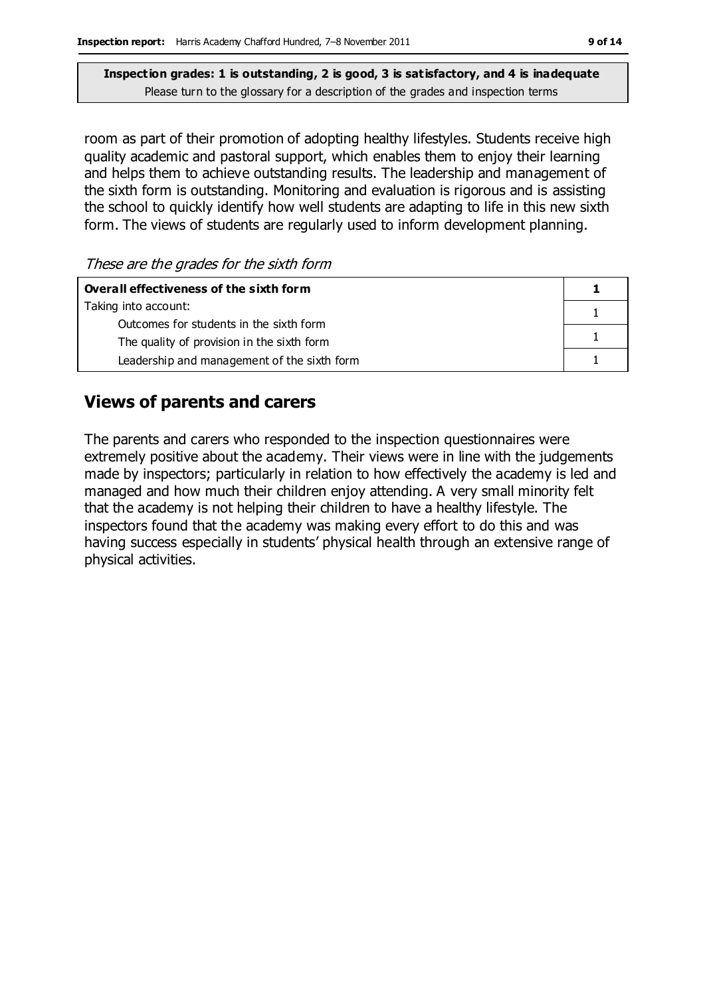room as part of their promotion of adopting healthy lifestyles. Students receive high quality academic and pastoral support, which enables them to enjoy their learning and helps them to achieve outstanding results. The leadership and management of the sixth form is outstanding. Monitoring and evaluation is rigorous and is assisting the school to quickly identify how well students are adapting to life in this new sixth form. The views of students are regularly used to inform development planning.

These are the grades for the sixth form

| Overall effectiveness of the sixth form     |  |
|---------------------------------------------|--|
| Taking into account:                        |  |
| Outcomes for students in the sixth form     |  |
| The quality of provision in the sixth form  |  |
| Leadership and management of the sixth form |  |

# **Views of parents and carers**

The parents and carers who responded to the inspection questionnaires were extremely positive about the academy. Their views were in line with the judgements made by inspectors; particularly in relation to how effectively the academy is led and managed and how much their children enjoy attending. A very small minority felt that the academy is not helping their children to have a healthy lifestyle. The inspectors found that the academy was making every effort to do this and was having success especially in students' physical health through an extensive range of physical activities.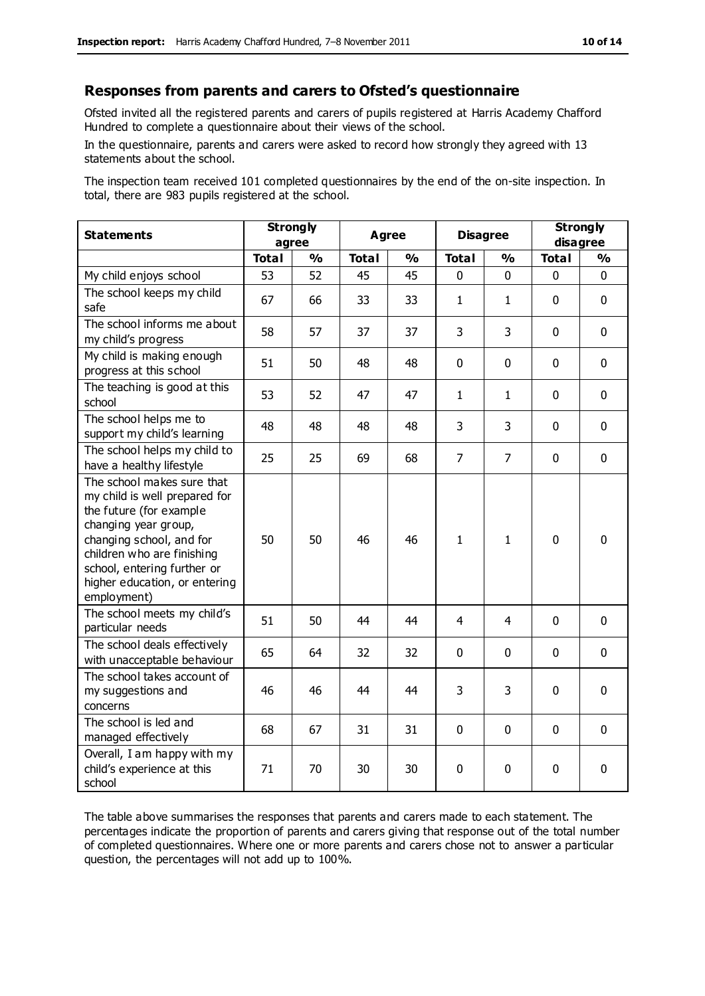#### **Responses from parents and carers to Ofsted's questionnaire**

Ofsted invited all the registered parents and carers of pupils registered at Harris Academy Chafford Hundred to complete a questionnaire about their views of the school.

In the questionnaire, parents and carers were asked to record how strongly they agreed with 13 statements about the school.

The inspection team received 101 completed questionnaires by the end of the on-site inspection. In total, there are 983 pupils registered at the school.

| <b>Statements</b>                                                                                                                                                                                                                                       | <b>Strongly</b><br>agree |               | <b>Agree</b> |               | <b>Disagree</b> |                | <b>Strongly</b><br>disagree |               |
|---------------------------------------------------------------------------------------------------------------------------------------------------------------------------------------------------------------------------------------------------------|--------------------------|---------------|--------------|---------------|-----------------|----------------|-----------------------------|---------------|
|                                                                                                                                                                                                                                                         | <b>Total</b>             | $\frac{0}{0}$ | <b>Total</b> | $\frac{0}{0}$ | <b>Total</b>    | $\frac{0}{0}$  | <b>Total</b>                | $\frac{1}{2}$ |
| My child enjoys school                                                                                                                                                                                                                                  | 53                       | 52            | 45           | 45            | 0               | 0              | 0                           | $\Omega$      |
| The school keeps my child<br>safe                                                                                                                                                                                                                       | 67                       | 66            | 33           | 33            | $\mathbf{1}$    | 1              | $\mathbf{0}$                | $\mathbf 0$   |
| The school informs me about<br>my child's progress                                                                                                                                                                                                      | 58                       | 57            | 37           | 37            | 3               | 3              | $\mathbf 0$                 | $\mathbf 0$   |
| My child is making enough<br>progress at this school                                                                                                                                                                                                    | 51                       | 50            | 48           | 48            | 0               | 0              | $\mathbf 0$                 | $\mathbf 0$   |
| The teaching is good at this<br>school                                                                                                                                                                                                                  | 53                       | 52            | 47           | 47            | 1               | 1              | $\mathbf 0$                 | $\mathbf 0$   |
| The school helps me to<br>support my child's learning                                                                                                                                                                                                   | 48                       | 48            | 48           | 48            | 3               | 3              | $\mathbf 0$                 | $\mathbf 0$   |
| The school helps my child to<br>have a healthy lifestyle                                                                                                                                                                                                | 25                       | 25            | 69           | 68            | $\overline{7}$  | $\overline{7}$ | $\mathbf 0$                 | $\mathbf 0$   |
| The school makes sure that<br>my child is well prepared for<br>the future (for example<br>changing year group,<br>changing school, and for<br>children who are finishing<br>school, entering further or<br>higher education, or entering<br>employment) | 50                       | 50            | 46           | 46            | $\mathbf{1}$    | 1              | $\mathbf 0$                 | $\mathbf 0$   |
| The school meets my child's<br>particular needs                                                                                                                                                                                                         | 51                       | 50            | 44           | 44            | 4               | 4              | $\mathbf 0$                 | $\mathbf 0$   |
| The school deals effectively<br>with unacceptable behaviour                                                                                                                                                                                             | 65                       | 64            | 32           | 32            | $\mathbf 0$     | $\mathbf 0$    | $\mathbf 0$                 | $\mathbf 0$   |
| The school takes account of<br>my suggestions and<br>concerns                                                                                                                                                                                           | 46                       | 46            | 44           | 44            | 3               | 3              | $\mathbf 0$                 | $\mathbf 0$   |
| The school is led and<br>managed effectively                                                                                                                                                                                                            | 68                       | 67            | 31           | 31            | $\pmb{0}$       | $\mathbf 0$    | $\mathbf 0$                 | $\mathbf 0$   |
| Overall, I am happy with my<br>child's experience at this<br>school                                                                                                                                                                                     | 71                       | 70            | 30           | 30            | 0               | $\mathbf 0$    | $\mathbf 0$                 | 0             |

The table above summarises the responses that parents and carers made to each statement. The percentages indicate the proportion of parents and carers giving that response out of the total number of completed questionnaires. Where one or more parents and carers chose not to answer a particular question, the percentages will not add up to 100%.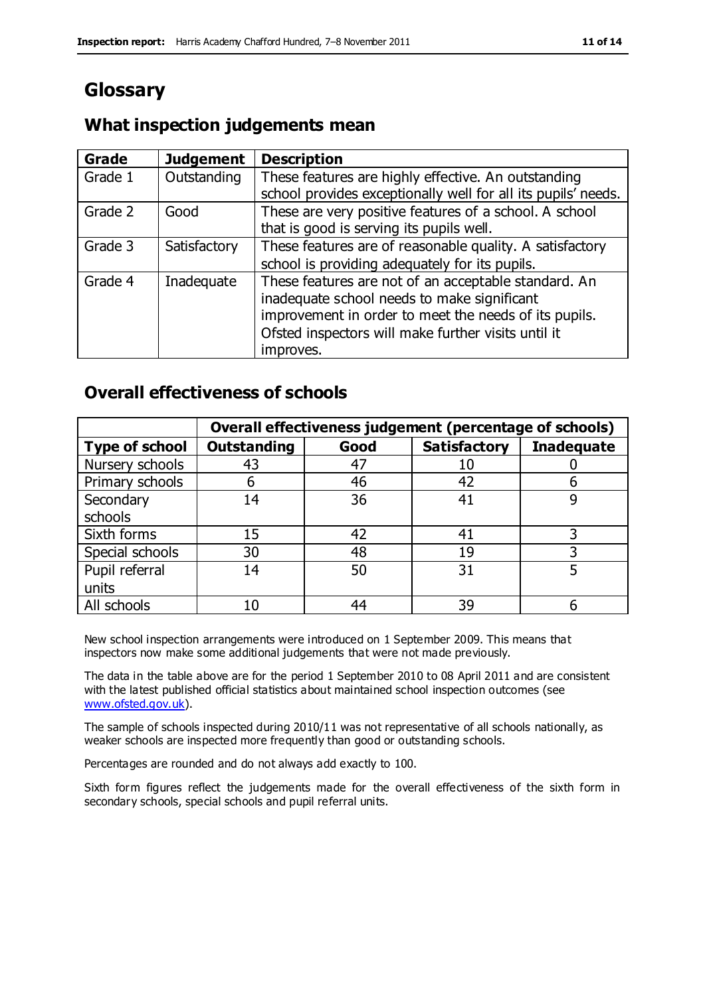# **Glossary**

# **What inspection judgements mean**

| Grade   | <b>Judgement</b> | <b>Description</b>                                            |
|---------|------------------|---------------------------------------------------------------|
| Grade 1 | Outstanding      | These features are highly effective. An outstanding           |
|         |                  | school provides exceptionally well for all its pupils' needs. |
| Grade 2 | Good             | These are very positive features of a school. A school        |
|         |                  | that is good is serving its pupils well.                      |
| Grade 3 | Satisfactory     | These features are of reasonable quality. A satisfactory      |
|         |                  | school is providing adequately for its pupils.                |
| Grade 4 | Inadequate       | These features are not of an acceptable standard. An          |
|         |                  | inadequate school needs to make significant                   |
|         |                  | improvement in order to meet the needs of its pupils.         |
|         |                  | Ofsted inspectors will make further visits until it           |
|         |                  | improves.                                                     |

# **Overall effectiveness of schools**

|                       |                    |      | Overall effectiveness judgement (percentage of schools) |                   |
|-----------------------|--------------------|------|---------------------------------------------------------|-------------------|
| <b>Type of school</b> | <b>Outstanding</b> | Good | <b>Satisfactory</b>                                     | <b>Inadequate</b> |
| Nursery schools       | 43                 | 47   | 10                                                      |                   |
| Primary schools       | 6                  | 46   | 42                                                      |                   |
| Secondary             | 14                 | 36   | 41                                                      |                   |
| schools               |                    |      |                                                         |                   |
| Sixth forms           | 15                 | 42   | 41                                                      | 3                 |
| Special schools       | 30                 | 48   | 19                                                      |                   |
| Pupil referral        | 14                 | 50   | 31                                                      |                   |
| units                 |                    |      |                                                         |                   |
| All schools           | 10                 | 44   | 39                                                      |                   |

New school inspection arrangements were introduced on 1 September 2009. This means that inspectors now make some additional judgements that were not made previously.

The data in the table above are for the period 1 September 2010 to 08 April 2011 and are consistent with the latest published official statistics about maintained school inspection outcomes (see [www.ofsted.gov.uk\)](http://www.ofsted.gov.uk/).

The sample of schools inspected during 2010/11 was not representative of all schools nationally, as weaker schools are inspected more frequently than good or outstanding schools.

Percentages are rounded and do not always add exactly to 100.

Sixth form figures reflect the judgements made for the overall effectiveness of the sixth form in secondary schools, special schools and pupil referral units.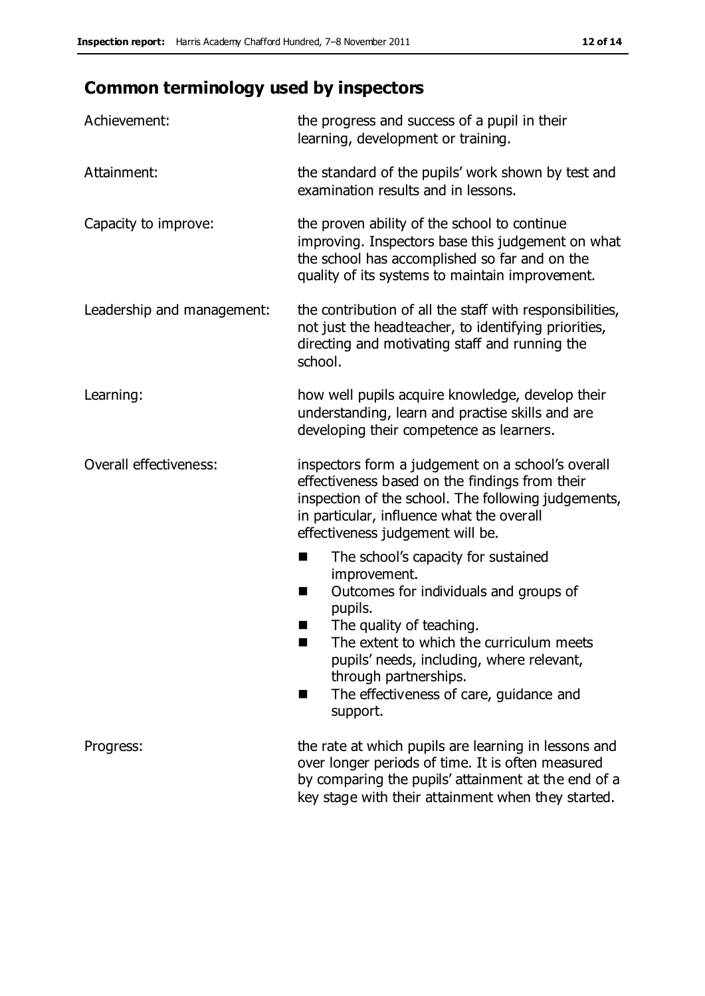# **Common terminology used by inspectors**

| Achievement:                  | the progress and success of a pupil in their<br>learning, development or training.                                                                                                                                                                                                                                           |
|-------------------------------|------------------------------------------------------------------------------------------------------------------------------------------------------------------------------------------------------------------------------------------------------------------------------------------------------------------------------|
| Attainment:                   | the standard of the pupils' work shown by test and<br>examination results and in lessons.                                                                                                                                                                                                                                    |
| Capacity to improve:          | the proven ability of the school to continue<br>improving. Inspectors base this judgement on what<br>the school has accomplished so far and on the<br>quality of its systems to maintain improvement.                                                                                                                        |
| Leadership and management:    | the contribution of all the staff with responsibilities,<br>not just the headteacher, to identifying priorities,<br>directing and motivating staff and running the<br>school.                                                                                                                                                |
| Learning:                     | how well pupils acquire knowledge, develop their<br>understanding, learn and practise skills and are<br>developing their competence as learners.                                                                                                                                                                             |
| <b>Overall effectiveness:</b> | inspectors form a judgement on a school's overall<br>effectiveness based on the findings from their<br>inspection of the school. The following judgements,<br>in particular, influence what the overall<br>effectiveness judgement will be.                                                                                  |
|                               | The school's capacity for sustained<br>×<br>improvement.<br>Outcomes for individuals and groups of<br>п<br>pupils.<br>The quality of teaching.<br>The extent to which the curriculum meets<br>pupils' needs, including, where relevant,<br>through partnerships.<br>The effectiveness of care, guidance and<br>■<br>support. |
| Progress:                     | the rate at which pupils are learning in lessons and<br>over longer periods of time. It is often measured<br>by comparing the pupils' attainment at the end of a<br>key stage with their attainment when they started.                                                                                                       |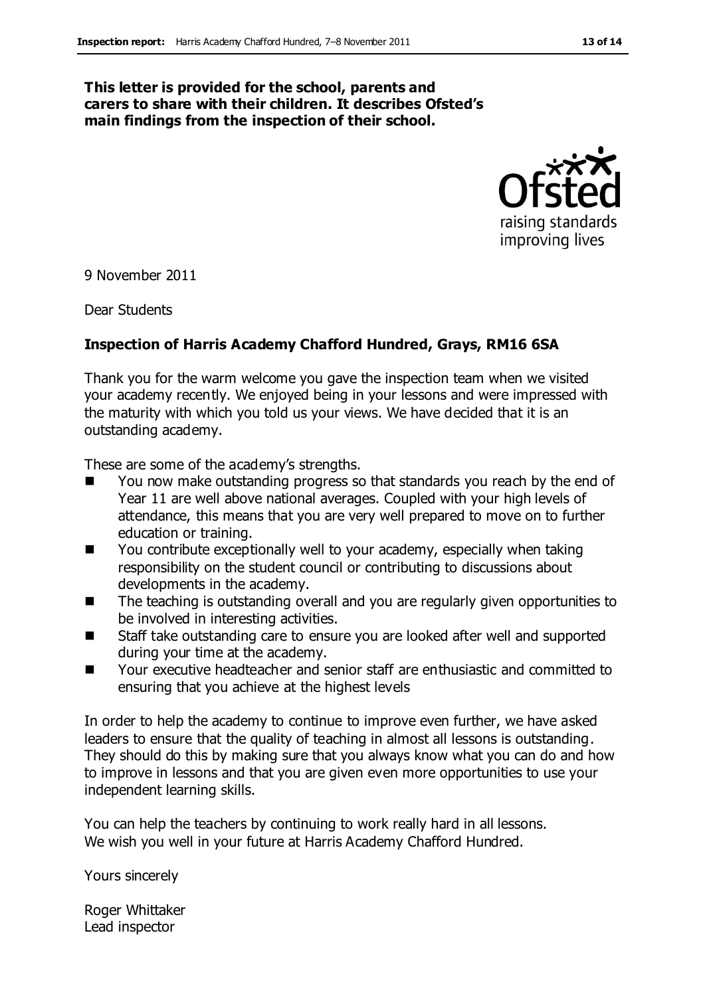#### **This letter is provided for the school, parents and carers to share with their children. It describes Ofsted's main findings from the inspection of their school.**



9 November 2011

Dear Students

#### **Inspection of Harris Academy Chafford Hundred, Grays, RM16 6SA**

Thank you for the warm welcome you gave the inspection team when we visited your academy recently. We enjoyed being in your lessons and were impressed with the maturity with which you told us your views. We have decided that it is an outstanding academy.

These are some of the academy's strengths.

- You now make outstanding progress so that standards you reach by the end of Year 11 are well above national averages. Coupled with your high levels of attendance, this means that you are very well prepared to move on to further education or training.
- You contribute exceptionally well to your academy, especially when taking responsibility on the student council or contributing to discussions about developments in the academy.
- The teaching is outstanding overall and you are regularly given opportunities to be involved in interesting activities.
- Staff take outstanding care to ensure you are looked after well and supported during your time at the academy.
- Your executive headteacher and senior staff are enthusiastic and committed to ensuring that you achieve at the highest levels

In order to help the academy to continue to improve even further, we have asked leaders to ensure that the quality of teaching in almost all lessons is outstanding. They should do this by making sure that you always know what you can do and how to improve in lessons and that you are given even more opportunities to use your independent learning skills.

You can help the teachers by continuing to work really hard in all lessons. We wish you well in your future at Harris Academy Chafford Hundred.

Yours sincerely

Roger Whittaker Lead inspector